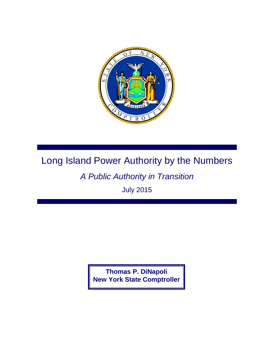

## Long Island Power Authority by the Numbers

## *A Public Authority in Transition*

July 2015

**Thomas P. DiNapoli New York State Comptroller**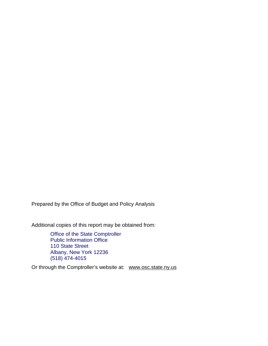Prepared by the Office of Budget and Policy Analysis

Additional copies of this report may be obtained from:

Office of the State Comptroller Public Information Office 110 State Street Albany, New York 12236 (518) 474-4015

Or through the Comptroller's website at: [www.osc.state.ny.us](http://www.osc.state.ny.us/)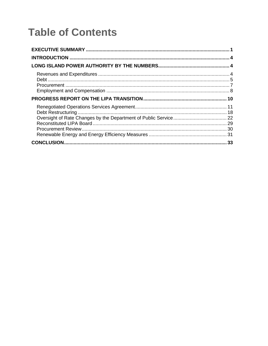# **Table of Contents**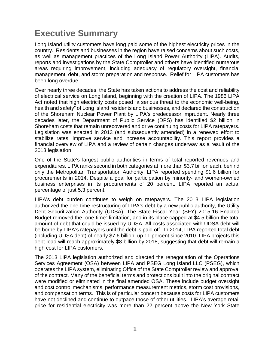## <span id="page-4-0"></span>**Executive Summary**

Long Island utility customers have long paid some of the highest electricity prices in the country. Residents and businesses in the region have raised concerns about such costs, as well as management practices of the Long Island Power Authority (LIPA). Audits, reports and investigations by the State Comptroller and others have identified numerous areas requiring improvement, including adequacy of regulatory oversight, financial management, debt, and storm preparation and response. Relief for LIPA customers has been long overdue.

Over nearly three decades, the State has taken actions to address the cost and reliability of electrical service on Long Island, beginning with the creation of LIPA. The 1986 LIPA Act noted that high electricity costs posed "a serious threat to the economic well-being, health and safety" of Long Island residents and businesses, and declared the construction of the Shoreham Nuclear Power Plant by LIPA's predecessor imprudent. Nearly three decades later, the Department of Public Service (DPS) has identified \$2 billion in Shoreham costs that remain unrecovered and drive continuing costs for LIPA ratepayers. Legislation was enacted in 2013 (and subsequently amended) in a renewed effort to stabilize rates, improve service and increase accountability. This report provides a financial overview of LIPA and a review of certain changes underway as a result of the 2013 legislation.

One of the State's largest public authorities in terms of total reported revenues and expenditures, LIPA ranks second in both categories at more than \$3.7 billion each, behind only the Metropolitan Transportation Authority. LIPA reported spending \$1.6 billion for procurements in 2014. Despite a goal for participation by minority- and women-owned business enterprises in its procurements of 20 percent, LIPA reported an actual percentage of just 5.3 percent.

LIPA's debt burden continues to weigh on ratepayers. The 2013 LIPA legislation authorized the one-time restructuring of LIPA's debt by a new public authority, the Utility Debt Securitization Authority (UDSA). The State Fiscal Year (SFY) 2015-16 Enacted Budget removed the "one-time" limitation, and in its place capped at \$4.5 billion the total amount of debt that could be issued by UDSA. All costs associated with UDSA debt will be borne by LIPA's ratepayers until the debt is paid off. In 2014, LIPA reported total debt (including UDSA debt) of nearly \$7.6 billion, up 11 percent since 2010. LIPA projects this debt load will reach approximately \$8 billion by 2018, suggesting that debt will remain a high cost for LIPA customers.

The 2013 LIPA legislation authorized and directed the renegotiation of the Operations Services Agreement (OSA) between LIPA and PSEG Long Island LLC (PSEG), which operates the LIPA system, eliminating Office of the State Comptroller review and approval of the contract. Many of the beneficial terms and protections built into the original contract were modified or eliminated in the final amended OSA. These include budget oversight and cost control mechanisms, performance measurement metrics, storm cost provisions, and compensation terms. This is of particular concern because costs for LIPA customers have not declined and continue to outpace those of other utilities. LIPA's average retail price for residential electricity was more than 22 percent above the New York State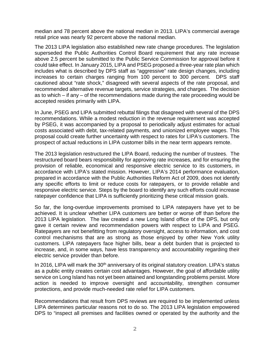median and 78 percent above the national median in 2013. LIPA's commercial average retail price was nearly 92 percent above the national median.

The 2013 LIPA legislation also established new rate change procedures. The legislation superseded the Public Authorities Control Board requirement that any rate increase above 2.5 percent be submitted to the Public Service Commission for approval before it could take effect. In January 2015, LIPA and PSEG proposed a three-year rate plan which includes what is described by DPS staff as "aggressive" rate design changes, including increases to certain charges ranging from 100 percent to 300 percent. DPS staff cautioned about "rate shock," disagreed with several aspects of the rate proposal, and recommended alternative revenue targets, service strategies, and charges. The decision as to which – if any – of the recommendations made during the rate proceeding would be accepted resides primarily with LIPA.

In June, PSEG and LIPA submitted rebuttal filings that disagreed with several of the DPS recommendations. While a modest reduction in the revenue requirement was accepted by PSEG, it was accompanied by a proposal to periodically adjust estimates for actual costs associated with debt, tax-related payments, and unionized employee wages. This proposal could create further uncertainty with respect to rates for LIPA's customers. The prospect of actual reductions in LIPA customer bills in the near term appears remote.

The 2013 legislation restructured the LIPA Board, reducing the number of trustees. The restructured board bears responsibility for approving rate increases, and for ensuring the provision of reliable, economical and responsive electric service to its customers, in accordance with LIPA's stated mission. However, LIPA's 2014 performance evaluation, prepared in accordance with the Public Authorities Reform Act of 2009, does not identify any specific efforts to limit or reduce costs for ratepayers, or to provide reliable and responsive electric service. Steps by the board to identify any such efforts could increase ratepayer confidence that LIPA is sufficiently prioritizing these critical mission goals.

So far, the long-overdue improvements promised to LIPA ratepayers have yet to be achieved. It is unclear whether LIPA customers are better or worse off than before the 2013 LIPA legislation. The law created a new Long Island office of the DPS, but only gave it certain review and recommendation powers with respect to LIPA and PSEG. Ratepayers are not benefitting from regulatory oversight, access to information, and cost control mechanisms that are as strong as those enjoyed by other New York utility customers. LIPA ratepayers face higher bills, bear a debt burden that is projected to increase, and, in some ways, have less transparency and accountability regarding their electric service provider than before.

In 2016, LIPA will mark the 30<sup>th</sup> anniversary of its original statutory creation. LIPA's status as a public entity creates certain cost advantages. However, the goal of affordable utility service on Long Island has not yet been attained and longstanding problems persist. More action is needed to improve oversight and accountability, strengthen consumer protections, and provide much-needed rate relief for LIPA customers.

Recommendations that result from DPS reviews are required to be implemented unless LIPA determines particular reasons not to do so. The 2013 LIPA legislation empowered DPS to "inspect all premises and facilities owned or operated by the authority and the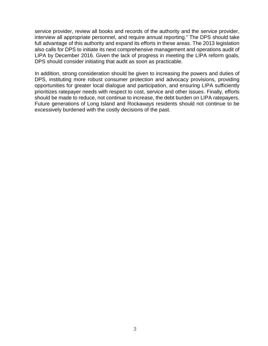service provider, review all books and records of the authority and the service provider, interview all appropriate personnel, and require annual reporting." The DPS should take full advantage of this authority and expand its efforts in these areas. The 2013 legislation also calls for DPS to initiate its next comprehensive management and operations audit of LIPA by December 2016. Given the lack of progress in meeting the LIPA reform goals, DPS should consider initiating that audit as soon as practicable.

In addition, strong consideration should be given to increasing the powers and duties of DPS, instituting more robust consumer protection and advocacy provisions, providing opportunities for greater local dialogue and participation, and ensuring LIPA sufficiently prioritizes ratepayer needs with respect to cost, service and other issues. Finally, efforts should be made to reduce, not continue to increase, the debt burden on LIPA ratepayers. Future generations of Long Island and Rockaways residents should not continue to be excessively burdened with the costly decisions of the past.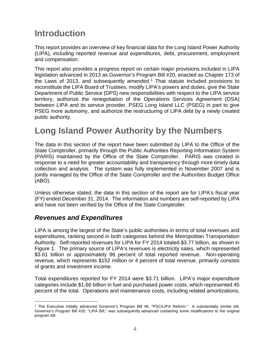## <span id="page-7-0"></span>**Introduction**

This report provides an overview of key financial data for the Long Island Power Authority (LIPA), including reported revenue and expenditures, debt, procurement, employment and compensation.

This report also provides a progress report on certain major provisions included in LIPA legislation advanced in 2013 as Governor's Program Bill #20, enacted as Chapter 173 of the Laws of 2013, and subsequently amended. [1](#page-7-3) That statute included provisions to reconstitute the LIPA Board of Trustees, modify LIPA's powers and duties, give the State Department of Public Service (DPS) new responsibilities with respect to the LIPA service territory, authorize the renegotiation of the Operations Services Agreement (OSA) between LIPA and its service provider, PSEG Long Island LLC (PSEG) in part to give PSEG more autonomy, and authorize the restructuring of LIPA debt by a newly created public authority.

## <span id="page-7-1"></span>**Long Island Power Authority by the Numbers**

The data in this section of the report have been submitted by LIPA to the Office of the State Comptroller, primarily through the Public Authorities Reporting Information System (PARIS) maintained by the Office of the State Comptroller. PARIS was created in response to a need for greater accountability and transparency through more timely data collection and analysis. The system was fully implemented in November 2007 and is jointly managed by the Office of the State Comptroller and the Authorities Budget Office (ABO).

Unless otherwise stated, the data in this section of the report are for LIPA's fiscal year (FY) ended December 31, 2014. The information and numbers are self-reported by LIPA and have not been verified by the Office of the State Comptroller.

### <span id="page-7-2"></span>*Revenues and Expenditures*

LIPA is among the largest of the State's public authorities in terms of total revenues and expenditures, ranking second in both categories behind the Metropolitan Transportation Authority. Self-reported revenues for LIPA for FY 2014 totaled \$3.77 billion, as shown in Figure 1. The primary source of LIPA's revenues is electricity sales, which represented \$3.61 billion or approximately 96 percent of total reported revenue. Non-operating revenue, which represents \$152 million or 4 percent of total revenue, primarily consists of grants and investment income.

Total expenditures reported for FY 2014 were \$3.71 billion. LIPA's major expenditure categories include \$1.66 billion in fuel and purchased power costs, which represented 45 percent of the total. Operations and maintenance costs, including related amortizations,

<span id="page-7-3"></span><sup>&</sup>lt;sup>1</sup> The Executive initially advanced Governor's Program Bill #6, "PSC/LIPA Reform." A substantially similar bill, Governor's Program Bill #20, "LIPA Bill," was subsequently advanced containing some modifications to the original program bill.  $\overline{a}$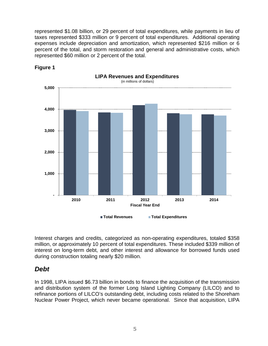represented \$1.08 billion, or 29 percent of total expenditures, while payments in lieu of taxes represented \$333 million or 9 percent of total expenditures. Additional operating expenses include depreciation and amortization, which represented \$216 million or 6 percent of the total, and storm restoration and general and administrative costs, which represented \$60 million or 2 percent of the total.



**Figure 1**

Interest charges and credits, categorized as non-operating expenditures, totaled \$358 million, or approximately 10 percent of total expenditures. These included \$339 million of interest on long-term debt, and other interest and allowance for borrowed funds used during construction totaling nearly \$20 million.

### <span id="page-8-0"></span>*Debt*

In 1998, LIPA issued \$6.73 billion in bonds to finance the acquisition of the transmission and distribution system of the former Long Island Lighting Company (LILCO) and to refinance portions of LILCO's outstanding debt, including costs related to the Shoreham Nuclear Power Project, which never became operational. Since that acquisition, LIPA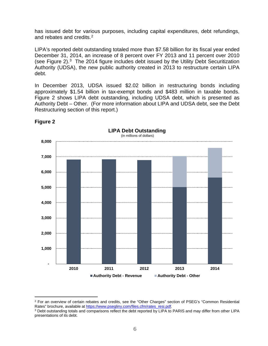has issued debt for various purposes, including capital expenditures, debt refundings, and rebates and credits.<sup>2</sup>

LIPA's reported debt outstanding totaled more than \$7.58 billion for its fiscal year ended December 31, 2014, an increase of 8 percent over FY 2013 and 11 percent over 2010 (see Figure 2). [3](#page-9-1) The 2014 figure includes debt issued by the Utility Debt Securitization Authority (UDSA), the new public authority created in 2013 to restructure certain LIPA debt.

In December 2013, UDSA issued \$2.02 billion in restructuring bonds including approximately \$1.54 billion in tax-exempt bonds and \$483 million in taxable bonds. Figure 2 shows LIPA debt outstanding, including UDSA debt, which is presented as Authority Debt – Other. (For more information about LIPA and UDSA debt, see the Debt Restructuring section of this report.)



**Figure 2**

 $\overline{a}$ 

<span id="page-9-0"></span><sup>&</sup>lt;sup>2</sup> For an overview of certain rebates and credits, see the "Other Charges" section of PSEG's "Common Residential Rates" brochure, available at [https://www.psegliny.com/files.cfm/rates\\_resi.pdf.](https://www.psegliny.com/files.cfm/rates_resi.pdf)

<span id="page-9-1"></span><sup>3</sup> Debt outstanding totals and comparisons reflect the debt reported by LIPA to PARIS and may differ from other LIPA presentations of its debt.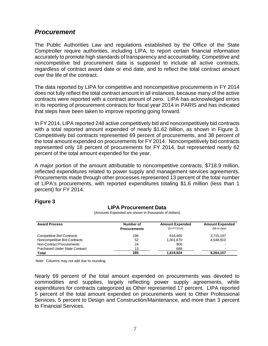### <span id="page-10-0"></span>*Procurement*

The Public Authorities Law and regulations established by the Office of the State Comptroller require authorities, including LIPA, to report certain financial information accurately to promote high standards of transparency and accountability. Competitive and noncompetitive bid procurement data is supposed to include all active contracts, regardless of contract award date or end date, and to reflect the total contract amount over the life of the contract.

The data reported by LIPA for competitive and noncompetitive procurements in FY 2014 does not fully reflect the total contract amount in all instances, because many of the active contracts were reported with a contract amount of zero. LIPA has acknowledged errors in its reporting of procurement contracts for fiscal year 2014 in PARIS and has indicated that steps have been taken to improve reporting going forward.

In FY 2014, LIPA reported 248 active competitively bid and noncompetitively bid contracts with a total reported amount expended of nearly \$1.62 billion, as shown in Figure 3. Competitively bid contracts represented 69 percent of procurements, and 38 percent of the total amount expended on procurements for FY 2014. Noncompetitively bid contracts represented only 18 percent of procurements for FY 2014, but represented nearly 62 percent of the total amount expended for the year.

A major portion of the amount attributable to noncompetitive contracts, \$718.9 million, reflected expenditures related to power supply and management services agreements. Procurements made through other processes represented 13 percent of the total number of LIPA's procurements, with reported expenditures totaling \$1.6 million (less than 1 percent) for FY 2014.

#### **Figure 3**

| <b>Award Process</b>                  | Number of           | <b>Amount Expended</b> | <b>Amount Expended</b> |
|---------------------------------------|---------------------|------------------------|------------------------|
|                                       | <b>Procurements</b> | (for FY 2014)          | (life to date)         |
| <b>Competitive Bid Contracts</b>      | 196                 | 616.465                | 3,715,197              |
| Noncompetitive Bid Contracts          | 52                  | 1,001,870              | 4.548.910              |
| Non-Contract Procurements             | 24                  | 900                    |                        |
| <b>Purchased Under State Contract</b> | 13                  | 688                    |                        |
| Total                                 | 285                 | 1,619,924              | 8,264,107              |

**LIPA Procurement Data** (Amounts Expended are shown in thousands of dollars)

Note: Columns may not add due to rounding.

Nearly 69 percent of the total amount expended on procurements was devoted to commodities and supplies, largely reflecting power supply agreements, while expenditures for contracts categorized as Other represented 17 percent. LIPA reported 5 percent of the total amount expended on procurements went to Other Professional Services, 5 percent to Design and Construction/Maintenance, and more than 3 percent to Financial Services.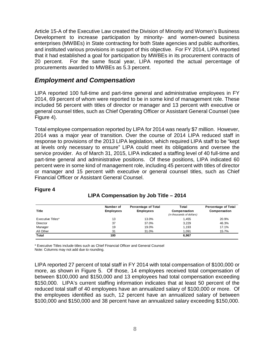Article 15-A of the Executive Law created the Division of Minority and Women's Business Development to increase participation by minority- and women-owned business enterprises (MWBEs) in State contracting for both State agencies and public authorities, and instituted various provisions in support of this objective. For FY 2014, LIPA reported that it had established a goal for participation by MWBEs in its procurement contracts of 20 percent. For the same fiscal year, LIPA reported the actual percentage of procurements awarded to MWBEs as 5.3 percent.

### <span id="page-11-0"></span>*Employment and Compensation*

LIPA reported 100 full-time and part-time general and administrative employees in FY 2014, 69 percent of whom were reported to be in some kind of management role. These included 56 percent with titles of director or manager and 13 percent with executive or general counsel titles, such as Chief Operating Officer or Assistant General Counsel (see Figure 4).

Total employee compensation reported by LIPA for 2014 was nearly \$7 million. However, 2014 was a major year of transition. Over the course of 2014 LIPA reduced staff in response to provisions of the 2013 LIPA legislation, which required LIPA staff to be "kept at levels only necessary to ensure" LIPA could meet its obligations and oversee the service provider. As of March 31, 2015, LIPA indicated a staffing level of 40 full-time and part-time general and administrative positions. Of these positions, LIPA indicated 60 percent were in some kind of management role, including 45 percent with titles of director or manager and 15 percent with executive or general counsel titles, such as Chief Financial Officer or Assistant General Counsel.

| Title             | Number of<br><b>Employees</b> | <b>Percentage of Total</b><br><b>Employees</b> | Total<br>Compensation     | <b>Percentage of Total</b><br>Compensation |
|-------------------|-------------------------------|------------------------------------------------|---------------------------|--------------------------------------------|
|                   |                               |                                                | (in thousands of dollars) |                                            |
| Executive Titles* | 13                            | 13.0%                                          | 1,455                     | 20.9%                                      |
| Director          | 37                            | 37.0%                                          | 3,229                     | 46.3%                                      |
| Manager           | 19                            | 19.0%                                          | 1,193                     | 17.1%                                      |
| All Other         | 31                            | 31.0%                                          | 1.091                     | 15.7%                                      |
| Total             | 100                           |                                                | 6,967                     |                                            |

#### **Figure 4**

**LIPA Compensation by Job Title – 2014**

\* Executive Titles include titles such as Chief Financial Officer and General Counsel

Note: Columns may not add due to rounding.

LIPA reported 27 percent of total staff in FY 2014 with total compensation of \$100,000 or more, as shown in Figure 5. Of those, 14 employees received total compensation of between \$100,000 and \$150,000 and 13 employees had total compensation exceeding \$150,000. LIPA's current staffing information indicates that at least 50 percent of the reduced total staff of 40 employees have an annualized salary of \$100,000 or more. Of the employees identified as such, 12 percent have an annualized salary of between \$100,000 and \$150,000 and 38 percent have an annualized salary exceeding \$150,000.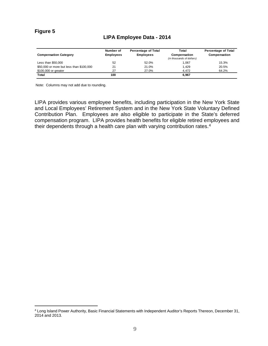#### **Figure 5**

 $\overline{a}$ 

#### **LIPA Employee Data - 2014**

| <b>Compensation Category</b>             | Number of<br><b>Employees</b> | <b>Percentage of Total</b><br><b>Employees</b> | Total<br>Compensation<br>(in thousands of dollars) | <b>Percentage of Total</b><br>Compensation |
|------------------------------------------|-------------------------------|------------------------------------------------|----------------------------------------------------|--------------------------------------------|
| Less than \$50,000                       | 52                            | 52.0%                                          | 1.067                                              | 15.3%                                      |
| \$50,000 or more but less than \$100,000 | 21                            | 21.0%                                          | 1.429                                              | 20.5%                                      |
| \$100,000 or greater                     | 27                            | 27.0%                                          | 4.472                                              | 64.2%                                      |
| Total                                    | 100                           |                                                | 6,967                                              |                                            |

Note: Columns may not add due to rounding.

LIPA provides various employee benefits, including participation in the New York State and Local Employees' Retirement System and in the New York State Voluntary Defined Contribution Plan. Employees are also eligible to participate in the State's deferred compensation program. LIPA provides health benefits for eligible retired employees and their dependents through a health care plan with varying contribution rates.[4](#page-12-0)

<span id="page-12-0"></span><sup>4</sup> Long Island Power Authority, Basic Financial Statements with Independent Auditor's Reports Thereon, December 31, 2014 and 2013*.*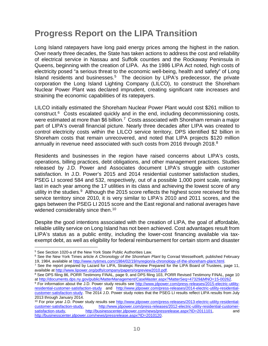## <span id="page-13-0"></span>**Progress Report on the LIPA Transition**

Long Island ratepayers have long paid energy prices among the highest in the nation. Over nearly three decades, the State has taken actions to address the cost and reliability of electrical service in Nassau and Suffolk counties and the Rockaway Peninsula in Queens, beginning with the creation of LIPA. As the 1986 LIPA Act noted, high costs of electricity posed "a serious threat to the economic well-being, health and safety" of Long Island residents and businesses.<sup>5</sup> The decision by LIPA's predecessor, the private corporation the Long Island Lighting Company (LILCO), to construct the Shoreham Nuclear Power Plant was declared imprudent, creating significant rate increases and straining the economic capabilities of its ratepayers.

LILCO initially estimated the Shoreham Nuclear Power Plant would cost \$261 million to construct.[6](#page-13-2) Costs escalated quickly and in the end, including decommissioning costs, were estimated at more than \$6 billion.<sup>7</sup> Costs associated with Shoreham remain a major part of LIPA's overall financial picture. Nearly three decades after LIPA was created to control electricity costs within the LILCO service territory, DPS identified \$2 billion in Shoreham costs that remain unrecovered, and noted that LIPA projects \$120 million annually in revenue need associated with such costs from 2016 through 201[8](#page-13-4).<sup>8</sup>

Residents and businesses in the region have raised concerns about LIPA's costs, operations, billing practices, debt obligations, and other management practices. Studies released by J.D. Power and Associates document LIPA's struggle with customer satisfaction. In J.D. Power's 2015 and 2014 residential customer satisfaction studies, PSEG LI scored 584 and 532, respectively, out of a possible 1,000 point scale, ranking last in each year among the 17 utilities in its class and achieving the lowest score of any utility in the studies.<sup>[9](#page-13-5)</sup> Although the 2015 score reflects the highest score received for this service territory since 2010, it is very similar to LIPA's 2010 and 2011 scores, and the gaps between the PSEG LI 2015 score and the East regional and national averages have widened considerably since then.<sup>[10](#page-13-6)</sup>

Despite the good intentions associated with the creation of LIPA, the goal of affordable, reliable utility service on Long Island has not been achieved. Cost advantages result from LIPA's status as a public entity, including the lower-cost financing available via taxexempt debt, as well as eligibility for federal reimbursement for certain storm and disaster

 $\overline{a}$ 

<sup>5</sup> See Section 1020-a of the New York State Public Authorities Law.

<span id="page-13-2"></span><span id="page-13-1"></span><sup>6</sup> See the New York Times article *A Chronology of the Shoreham Plant* by Conrad Wesselhoeft, published February 19, 1984, available at [http://www.nytimes.com/1984/02/19/nyregion/a-chronology-of-the-shoreham-plant.html.](http://www.nytimes.com/1984/02/19/nyregion/a-chronology-of-the-shoreham-plant.html)

<span id="page-13-3"></span><sup>&</sup>lt;sup>7</sup> See the report prepared by Lazard for LIPA, Strategic Review Prepared for the LIPA Board of Trustees, page 11, available at [http://www.lipower.org/pdfs/company/papers/orgreview2010.pdf.](http://www.lipower.org/pdfs/company/papers/orgreview2010.pdf)

<span id="page-13-4"></span><sup>8</sup> See DPS filing 86, PORR Testimony FINAL, page 9, and DPS filing 103, PORR Revised Testimony FINAL, page 10 at [http://documents.dps.ny.gov/public/MatterManagement/CaseMaster.aspx?MatterSeq=47329&MNO=15-00262.](http://documents.dps.ny.gov/public/MatterManagement/CaseMaster.aspx?MatterSeq=47329&MNO=15-00262)

<span id="page-13-5"></span><sup>9</sup> For information about the J.D. Power study results see [http://www.jdpower.com/press-releases/2015-electric-utility](http://www.jdpower.com/press-releases/2015-electric-utility-residential-customer-satisfaction-study)[residential-customer-satisfaction-study](http://www.jdpower.com/press-releases/2015-electric-utility-residential-customer-satisfaction-study) and [http://www.jdpower.com/press-releases/2014-electric-utility-residential](http://www.jdpower.com/press-releases/2014-electric-utility-residential-customer-satisfaction-study)[customer-satisfaction-study.](http://www.jdpower.com/press-releases/2014-electric-utility-residential-customer-satisfaction-study) The 2014 J.D. Power study notes that the PSEG LI results reflect LIPA results from July 2013 through January 2014.

<span id="page-13-6"></span><sup>&</sup>lt;sup>10</sup> For prior year J.D. Power study results see http://www.jdpower.com/press-releases/2013-electric-utility-residential-<br>customer-satisfaction-study, http://www.jdpower.com/press-releases/2012-electric-utility-residential [customer-satisfaction-study,](http://www.jdpower.com/press-releases/2013-electric-utility-residential-customer-satisfaction-study) [http://www.jdpower.com/press-releases/2012-electric-utility-residential-customer](http://www.jdpower.com/press-releases/2012-electric-utility-residential-customer-satisfaction-study)[http://businesscenter.jdpower.com/news/pressrelease.aspx?ID=2011101,](http://businesscenter.jdpower.com/news/pressrelease.aspx?ID=2011101) and [http://businesscenter.jdpower.com/news/pressrelease.aspx?ID=2010120.](http://businesscenter.jdpower.com/news/pressrelease.aspx?ID=2010120)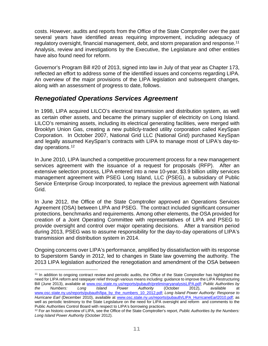costs. However, audits and reports from the Office of the State Comptroller over the past several years have identified areas requiring improvement, including adequacy of regulatory oversight, financial management, debt, and storm preparation and response.<sup>[11](#page-14-1)</sup> Analysis, review and investigations by the Executive, the Legislature and other entities have also found need for reform.

Governor's Program Bill #20 of 2013, signed into law in July of that year as Chapter 173, reflected an effort to address some of the identified issues and concerns regarding LIPA. An overview of the major provisions of the LIPA legislation and subsequent changes, along with an assessment of progress to date, follows.

### <span id="page-14-0"></span>*Renegotiated Operations Services Agreement*

In 1998, LIPA acquired LILCO's electrical transmission and distribution system, as well as certain other assets, and became the primary supplier of electricity on Long Island. LILCO's remaining assets, including its electrical generating facilities, were merged with Brooklyn Union Gas, creating a new publicly-traded utility corporation called KeySpan Corporation. In October 2007, National Grid LLC (National Grid) purchased KeySpan and legally assumed KeySpan's contracts with LIPA to manage most of LIPA's day-today operations. [12](#page-14-2)

In June 2010, LIPA launched a competitive procurement process for a new management services agreement with the issuance of a request for proposals (RFP). After an extensive selection process, LIPA entered into a new 10-year, \$3.9 billion utility services management agreement with PSEG Long Island, LLC (PSEG), a subsidiary of Public Service Enterprise Group Incorporated, to replace the previous agreement with National Grid.

In June 2012, the Office of the State Comptroller approved an Operations Services Agreement (OSA) between LIPA and PSEG. The contract included significant consumer protections, benchmarks and requirements. Among other elements, the OSA provided for creation of a Joint Operating Committee with representatives of LIPA and PSEG to provide oversight and control over major operating decisions. After a transition period during 2013, PSEG was to assume responsibility for the day-to-day operations of LIPA's transmission and distribution system in 2014.

Ongoing concerns over LIPA's performance, amplified by dissatisfaction with its response to Superstorm Sandy in 2012, led to changes in State law governing the authority. The 2013 LIPA legislation authorized the renegotiation and amendment of the OSA between

<span id="page-14-1"></span><sup>&</sup>lt;sup>11</sup> In addition to ongoing contract review and periodic audits, the Office of the State Comptroller has highlighted the need for LIPA reform and ratepayer relief through various means including: guidance to improve the LIPA Restructuring Bill (June 2013), available at [www.osc.state.ny.us/reports/pubauth/preliminaryanalysisLIPA.pdf;](http://www.osc.state.ny.us/reports/pubauth/preliminaryanalysisLIPA.pdf) *Public Authorities by the Numbers: Long Island Power Authority* (October 2012), available at [www.osc.state.ny.us/reports/pubauth/lipa\\_by\\_the\\_numbers\\_10\\_2012.pdf;](http://www.osc.state.ny.us/reports/pubauth/lipa_by_the_numbers_10_2012.pdf) *Long Island Power Authority: Response to Hurricane Earl* (December 2010), available at [www.osc.state.ny.us/reports/pubauth/LIPA\\_HurricaneEarl2010.pdf;](http://www.osc.state.ny.us/reports/pubauth/LIPA_HurricaneEarl2010.pdf) as well as periodic testimony to the State Legislature on the need for LIPA oversight and reform and comments to the Public Authorities Control Board with respect to LIPA's borrowing practices.  $\overline{a}$ 

<span id="page-14-2"></span><sup>12</sup> For an historic overview of LIPA, see the Office of the State Comptroller's report, *Public Authorities by the Numbers: Long Island Power Authority* (October 2012).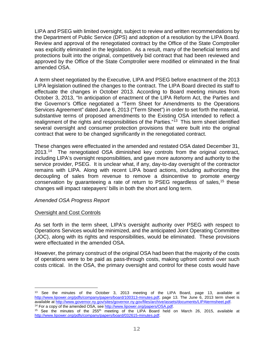LIPA and PSEG with limited oversight, subject to review and written recommendations by the Department of Public Service (DPS) and adoption of a resolution by the LIPA Board. Review and approval of the renegotiated contract by the Office of the State Comptroller was explicitly eliminated in the legislation. As a result, many of the beneficial terms and protections built into the original, competitively bid contract that had been reviewed and approved by the Office of the State Comptroller were modified or eliminated in the final amended OSA.

A term sheet negotiated by the Executive, LIPA and PSEG before enactment of the 2013 LIPA legislation outlined the changes to the contract. The LIPA Board directed its staff to effectuate the changes in October 2013. According to Board meeting minutes from October 3, 2013, "In anticipation of enactment of the LIPA Reform Act, the Parties and the Governor's Office negotiated a "Term Sheet for Amendments to the Operations Services Agreement" dated June 6, 2013 ("Term Sheet") in order to set forth the material, substantive terms of proposed amendments to the Existing OSA intended to reflect a realignment of the rights and responsibilities of the Parties."<sup>13</sup> This term sheet identified several oversight and consumer protection provisions that were built into the original contract that were to be changed significantly in the renegotiated contract.

These changes were effectuated in the amended and restated OSA dated December 31, 2013.<sup>[14](#page-15-1)</sup> The renegotiated OSA diminished key controls from the original contract, including LIPA's oversight responsibilities, and gave more autonomy and authority to the service provider, PSEG. It is unclear what, if any, day-to-day oversight of the contractor remains with LIPA. Along with recent LIPA board actions, including authorizing the decoupling of sales from revenue to remove a disincentive to promote energy conservation by guaranteeing a rate of return to PSEG regardless of sales,<sup>15</sup> these changes will impact ratepayers' bills in both the short and long term.

#### *Amended OSA Progress Report*

#### Oversight and Cost Controls

 $\overline{a}$ 

As set forth in the term sheet, LIPA's oversight authority over PSEG with respect to Operations Services would be minimized, and the anticipated Joint Operating Committee (JOC), along with its rights and responsibilities, would be eliminated. These provisions were effectuated in the amended OSA.

However, the primary construct of the original OSA had been that the majority of the costs of operations were to be paid as pass-through costs, making upfront control over such costs critical. In the OSA, the primary oversight and control for these costs would have

<span id="page-15-0"></span><sup>&</sup>lt;sup>13</sup> See the minutes of the October 3, 2013 meeting of the LIPA Board, page 13, available at [http://www.lipower.org/pdfs/company/papers/board/100313-minutes.pdf,](http://www.lipower.org/pdfs/company/papers/board/100313-minutes.pdf) page 13. The June 6, 2013 term sheet is available at [http://www.governor.ny.gov/sites/governor.ny.gov/files/archive/assets/documents/LIPAtermsheet.pdf.](http://www.governor.ny.gov/sites/governor.ny.gov/files/archive/assets/documents/LIPAtermsheet.pdf)<br><sup>14</sup> For a copy of the amended OSA, se[e http://www.lipower.org/papers/OSA.pdf.](http://www.lipower.org/papers/OSA.pdf)

<span id="page-15-2"></span><span id="page-15-1"></span><sup>&</sup>lt;sup>15</sup> See the minutes of the  $255<sup>th</sup>$  meeting of the LIPA Board held on March 26, 2015, available at [http://www.lipower.org/pdfs/company/papers/board/032615-minutes.pdf.](http://www.lipower.org/pdfs/company/papers/board/032615-minutes.pdf)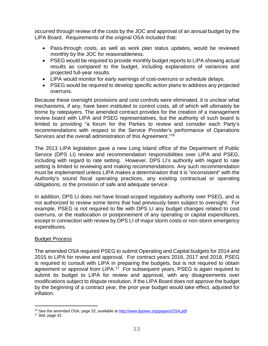occurred through review of the costs by the JOC and approval of an annual budget by the LIPA Board. Requirements of the original OSA included that:

- Pass-through costs, as well as work plan status updates, would be reviewed monthly by the JOC for reasonableness.
- PSEG would be required to provide monthly budget reports to LIPA showing actual results as compared to the budget, including explanations of variances and projected full-year results.
- LIPA would monitor for early warnings of cost-overruns or schedule delays.
- PSEG would be required to develop specific action plans to address any projected overruns.

Because these oversight provisions and cost controls were eliminated, it is unclear what mechanisms, if any, have been instituted to control costs, all of which will ultimately be borne by ratepayers. The amended contract provides for the creation of a management review board with LIPA and PSEG representatives, but the authority of such board is limited to providing "a forum for the Parties to review and consider each Party's recommendations with respect to the Service Provider's performance of Operations Services and the overall administration of this Agreement."<sup>[16](#page-16-0)</sup>

The 2013 LIPA legislation gave a new Long Island office of the Department of Public Service (DPS LI) review and recommendation responsibilities over LIPA and PSEG, including with regard to rate setting. However, DPS LI's authority with regard to rate setting is limited to reviewing and making recommendations. Any such recommendation must be implemented unless LIPA makes a determination that it is "inconsistent" with the Authority's sound fiscal operating practices, any existing contractual or operating obligations, or the provision of safe and adequate service.

In addition, DPS LI does not have broad-scoped regulatory authority over PSEG, and is not authorized to review some items that had previously been subject to oversight. For example, PSEG is not required to file with DPS LI any budget changes related to cost overruns, or the reallocation or postponement of any operating or capital expenditures, except in connection with review by DPS LI of major storm costs or non-storm emergency expenditures.

#### Budget Process

The amended OSA required PSEG to submit Operating and Capital budgets for 2014 and 2015 to LIPA for review and approval. For contract years 2016, 2017 and 2018, PSEG is required to consult with LIPA in preparing the budgets, but is not required to obtain agreement or approval from LIPA.<sup>[17](#page-16-1)</sup> For subsequent years, PSEG is again required to submit its budget to LIPA for review and approval, with any disagreements over modifications subject to dispute resolution. If the LIPA Board does not approve the budget by the beginning of a contract year, the prior year budget would take effect, adjusted for inflation.

<sup>&</sup>lt;sup>16</sup> See the amended OSA, page 32, available a[t http://www.lipower.org/papers/OSA.pdf.](http://www.lipower.org/papers/OSA.pdf)  $\overline{a}$ 

<span id="page-16-1"></span><span id="page-16-0"></span><sup>17</sup> Ibid, page 42.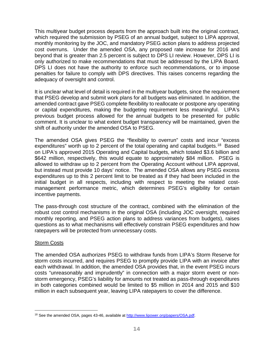This multiyear budget process departs from the approach built into the original contract, which required the submission by PSEG of an annual budget, subject to LIPA approval, monthly monitoring by the JOC, and mandatory PSEG action plans to address projected cost overruns. Under the amended OSA, any proposed rate increase for 2016 and beyond that is greater than 2.5 percent is subject to DPS LI review. However, DPS LI is only authorized to make recommendations that must be addressed by the LIPA Board. DPS LI does not have the authority to enforce such recommendations, or to impose penalties for failure to comply with DPS directives. This raises concerns regarding the adequacy of oversight and control.

It is unclear what level of detail is required in the multiyear budgets, since the requirement that PSEG develop and submit work plans for all budgets was eliminated. In addition, the amended contract gave PSEG complete flexibility to reallocate or postpone any operating or capital expenditures, making the budgeting requirement less meaningful. LIPA's previous budget process allowed for the annual budgets to be presented for public comment. It is unclear to what extent budget transparency will be maintained, given the shift of authority under the amended OSA to PSEG.

The amended OSA gives PSEG the "flexibility to overrun" costs and incur "excess expenditures" worth up to 2 percent of the total operating and capital budgets.<sup>18</sup> Based on LIPA's approved 2015 Operating and Capital budgets, which totaled \$3.6 billion and \$642 million, respectively, this would equate to approximately \$84 million. PSEG is allowed to withdraw up to 2 percent from the Operating Account without LIPA approval, but instead must provide 10 days' notice. The amended OSA allows any PSEG excess expenditures up to this 2 percent limit to be treated as if they had been included in the initial budget in all respects, including with respect to meeting the related costmanagement performance metric, which determines PSEG's eligibility for certain incentive payments.

The pass-through cost structure of the contract, combined with the elimination of the robust cost control mechanisms in the original OSA (including JOC oversight, required monthly reporting, and PSEG action plans to address variances from budgets), raises questions as to what mechanisms will effectively constrain PSEG expenditures and how ratepayers will be protected from unnecessary costs.

#### Storm Costs

 $\overline{a}$ 

The amended OSA authorizes PSEG to withdraw funds from LIPA's Storm Reserve for storm costs incurred, and requires PSEG to promptly provide LIPA with an invoice after each withdrawal. In addition, the amended OSA provides that, in the event PSEG incurs costs "unreasonably and imprudently" in connection with a major storm event or nonstorm emergency, PSEG's liability for amounts not treated as pass-through expenditures in both categories combined would be limited to \$5 million in 2014 and 2015 and \$10 million in each subsequent year, leaving LIPA ratepayers to cover the difference.

<span id="page-17-0"></span><sup>&</sup>lt;sup>18</sup> See the amended OSA, pages 43-46, available at [http://www.lipower.org/papers/OSA.pdf.](http://www.lipower.org/papers/OSA.pdf)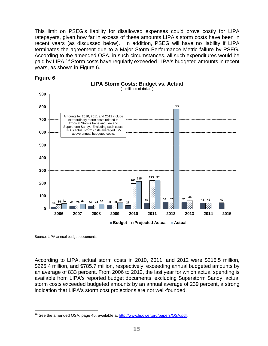This limit on PSEG's liability for disallowed expenses could prove costly for LIPA ratepayers, given how far in excess of these amounts LIPA's storm costs have been in recent years (as discussed below). In addition, PSEG will have no liability if LIPA terminates the agreement due to a Major Storm Performance Metric failure by PSEG. According to the amended OSA, in such circumstances, all such expenditures would be paid by LIPA. [19](#page-18-0) Storm costs have regularly exceeded LIPA's budgeted amounts in recent years, as shown in Figure 6.

**LIPA Storm Costs: Budget vs. Actual**





■Budget **Projected Actual** ■Actual

Source: LIPA annual budget documents

 $\overline{a}$ 

According to LIPA, actual storm costs in 2010, 2011, and 2012 were \$215.5 million, \$225.4 million, and \$785.7 million, respectively, exceeding annual budgeted amounts by an average of 833 percent. From 2006 to 2012, the last year for which actual spending is available from LIPA's reported budget documents, excluding Superstorm Sandy, actual storm costs exceeded budgeted amounts by an annual average of 239 percent, a strong indication that LIPA's storm cost projections are not well-founded.

<span id="page-18-0"></span><sup>19</sup> See the amended OSA, page 45, available a[t http://www.lipower.org/papers/OSA.pdf.](http://www.lipower.org/papers/OSA.pdf)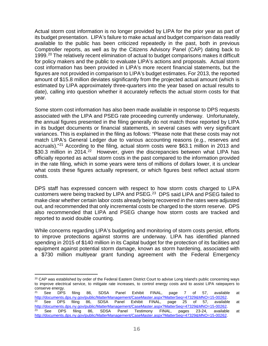Actual storm cost information is no longer provided by LIPA for the prior year as part of its budget presentation. LIPA's failure to make actual and budget comparison data readily available to the public has been criticized repeatedly in the past, both in previous Comptroller reports, as well as by the Citizens Advisory Panel (CAP) dating back to 1999.<sup>[20](#page-19-0)</sup> The relatively recent elimination of actual to budget comparisons makes it difficult for policy makers and the public to evaluate LIPA's actions and proposals. Actual storm cost information has been provided in LIPA's more recent financial statements, but the figures are not provided in comparison to LIPA's budget estimates. For 2013, the reported amount of \$15.8 million deviates significantly from the projected actual amount (which is estimated by LIPA approximately three-quarters into the year based on actual results to date), calling into question whether it accurately reflects the actual storm costs for that year.

Some storm cost information has also been made available in response to DPS requests associated with the LIPA and PSEG rate proceeding currently underway. Unfortunately, the annual figures presented in the filing generally do not match those reported by LIPA in its budget documents or financial statements, in several cases with very significant variances. This is explained in the filing as follows: "Please note that these costs may not match LIPA's General Ledger due to various accounting reasons (e.g., reserves and accruals)."[21](#page-19-1) According to the filing, actual storm costs were \$63.1 million in 2013 and \$30.3 million in 2014.<sup>[22](#page-19-2)</sup> However, given the discrepancies between what LIPA has officially reported as actual storm costs in the past compared to the information provided in the rate filing, which in some years were tens of millions of dollars lower, it is unclear what costs these figures actually represent, or which figures best reflect actual storm costs.

DPS staff has expressed concern with respect to how storm costs charged to LIPA customers were being tracked by LIPA and PSEG.[23](#page-19-3) DPS said LIPA and PSEG failed to make clear whether certain labor costs already being recovered in the rates were adjusted out, and recommended that only incremental costs be charged to the storm reserve. DPS also recommended that LIPA and PSEG change how storm costs are tracked and reported to avoid double counting.

While concerns regarding LIPA's budgeting and monitoring of storm costs persist, efforts to improve protections against storms are underway. LIPA has identified planned spending in 2015 of \$140 million in its Capital budget for the protection of its facilities and equipment against potential storm damage, known as storm hardening, associated with a \$730 million multiyear grant funding agreement with the Federal Emergency

<span id="page-19-0"></span> $20$  CAP was established by order of the Federal Eastern District Court to advise Long Island's public concerning ways to improve electrical service, to mitigate rate increases, to control energy costs and to assist LIPA ratepayers to conserve energy.<br><sup>21</sup> See DPS  $\overline{a}$ 

<span id="page-19-3"></span><span id="page-19-2"></span><span id="page-19-1"></span><sup>&</sup>lt;sup>21</sup> See DPS filing 86, SDSA Panel Exhibit FINAL, page 7 of 57, available at [http://documents.dps.ny.gov/public/MatterManagement/CaseMaster.aspx?MatterSeq=47329&MNO=15-00262.](http://documents.dps.ny.gov/public/MatterManagement/CaseMaster.aspx?MatterSeq=47329&MNO=15-00262)  $22$  See DPS filing 86, SDSA Panel Exhibit FINAL, page 25 of 57, available at [http://documents.dps.ny.gov/public/MatterManagement/CaseMaster.aspx?MatterSeq=47329&MNO=15-00262.](http://documents.dps.ny.gov/public/MatterManagement/CaseMaster.aspx?MatterSeq=47329&MNO=15-00262)  $^{23}$  See DPS filing 86, SDSA Panel Testimony FINAL, pages 23-24, available at [http://documents.dps.ny.gov/public/MatterManagement/CaseMaster.aspx?MatterSeq=47329&MNO=15-00262.](http://documents.dps.ny.gov/public/MatterManagement/CaseMaster.aspx?MatterSeq=47329&MNO=15-00262)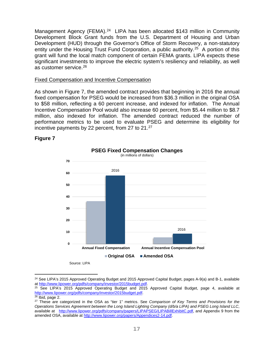Management Agency (FEMA).<sup>[24](#page-20-0)</sup> LIPA has been allocated \$143 million in Community Development Block Grant funds from the U.S. Department of Housing and Urban Development (HUD) through the Governor's Office of Storm Recovery, a non-statutory entity under the Housing Trust Fund Corporation, a public authority.<sup>[25](#page-20-1)</sup> A portion of this grant will fund the local match component of certain FEMA grants. LIPA expects these significant investments to improve the electric system's resiliency and reliability, as well as customer service.[26](#page-20-2)

#### Fixed Compensation and Incentive Compensation

As shown in Figure 7, the amended contract provides that beginning in 2016 the annual fixed compensation for PSEG would be increased from \$36.3 million in the original OSA to \$58 million, reflecting a 60 percent increase, and indexed for inflation. The Annual Incentive Compensation Pool would also increase 60 percent, from \$5.44 million to \$8.7 million, also indexed for inflation. The amended contract reduced the number of performance metrics to be used to evaluate PSEG and determine its eligibility for incentive payments by 22 percent, from [27](#page-20-3) to 21.<sup>27</sup>

#### **Figure 7**



<span id="page-20-0"></span><sup>&</sup>lt;sup>24</sup> See LIPA's 2015 Approved Operating Budget and 2015 Approved Capital Budget, pages A-9(a) and B-1, available at [http://www.lipower.org/pdfs/company/investor/2015budget.pdf.](http://www.lipower.org/pdfs/company/investor/2015budget.pdf)

 $\overline{a}$ 

<span id="page-20-1"></span><sup>&</sup>lt;sup>25</sup> See LIPA's 2015 Approved Operating Budget and 2015 Approved Capital Budget, page 4, available at [http://www.lipower.org/pdfs/company/investor/2015budget.pdf.](http://www.lipower.org/pdfs/company/investor/2015budget.pdf)

<span id="page-20-3"></span><span id="page-20-2"></span> $\frac{26}{26}$  Ibid, page 2.

<sup>27</sup> These are categorized in the OSA as "tier 1" metrics. See *Comparison of Key Terms and Provisions for the Operations Services Agreement between the Long Island Lighting Company (d/b/a LIPA) and PSEG Long Island LLC*, available at [http://www.lipower.org/pdfs/company/papers/LIPAPSEG/LIPABillExhibitC.pdf,](http://www.lipower.org/pdfs/company/papers/LIPAPSEG/LIPABillExhibitC.pdf) and Appendix 9 from the amended OSA, available at [http://www.lipower.org/papers/Appendices2-14.pdf.](http://www.lipower.org/papers/Appendices2-14.pdf)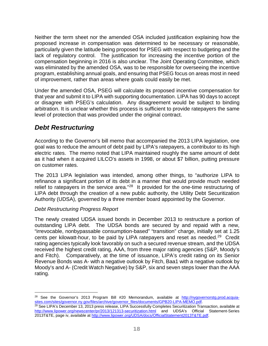Neither the term sheet nor the amended OSA included justification explaining how the proposed increase in compensation was determined to be necessary or reasonable, particularly given the latitude being proposed for PSEG with respect to budgeting and the lack of regulatory control. The justification for increasing the incentive portion of the compensation beginning in 2016 is also unclear. The Joint Operating Committee, which was eliminated by the amended OSA, was to be responsible for overseeing the incentive program, establishing annual goals, and ensuring that PSEG focus on areas most in need of improvement, rather than areas where goals could easily be met.

Under the amended OSA, PSEG will calculate its proposed incentive compensation for that year and submit it to LIPA with supporting documentation. LIPA has 90 days to accept or disagree with PSEG's calculation. Any disagreement would be subject to binding arbitration. It is unclear whether this process is sufficient to provide ratepayers the same level of protection that was provided under the original contract.

## <span id="page-21-0"></span>*Debt Restructuring*

According to the Governor's bill memo that accompanied the 2013 LIPA legislation, one goal was to reduce the amount of debt paid by LIPA's ratepayers, a contributor to its high electric rates. The memo noted that LIPA maintained roughly the same amount of debt as it had when it acquired LILCO's assets in 1998, or about \$7 billion, putting pressure on customer rates.

The 2013 LIPA legislation was intended, among other things, to "authorize LIPA to refinance a significant portion of its debt in a manner that would provide much needed relief to ratepayers in the service area."<sup>28</sup> It provided for the one-time restructuring of LIPA debt through the creation of a new public authority, the Utility Debt Securitization Authority (UDSA), governed by a three member board appointed by the Governor.

#### *Debt Restructuring Progress Report*

 $\overline{a}$ 

The newly created UDSA issued bonds in December 2013 to restructure a portion of outstanding LIPA debt. The UDSA bonds are secured by and repaid with a new, "irrevocable, nonbypassable consumption-based" "transition" charge, initially set at 1.25 cents per kilowatt-hour, to be paid by LIPA ratepayers and reset as needed.[29](#page-21-2) Credit rating agencies typically look favorably on such a secured revenue stream, and the UDSA received the highest credit rating, AAA, from three major rating agencies (S&P, Moody's and Fitch). Comparatively, at the time of issuance, LIPA's credit rating on its Senior Revenue Bonds was A- with a negative outlook by Fitch, Baa1 with a negative outlook by Moody's and A- (Credit Watch Negative) by S&P, six and seven steps lower than the AAA rating.

<span id="page-21-1"></span><sup>&</sup>lt;sup>28</sup> See the Governor's 2013 Program Bill #20 Memorandum, available at [http://nygovernorstg.prod.acquia](http://nygovernorstg.prod.acquia-sites.com/sites/governor.ny.gov/files/archive/governor_files/documents/GPB20-LIPA-MEMO.pdf)[sites.com/sites/governor.ny.gov/files/archive/governor\\_files/documents/GPB20-LIPA-MEMO.pdf.](http://nygovernorstg.prod.acquia-sites.com/sites/governor.ny.gov/files/archive/governor_files/documents/GPB20-LIPA-MEMO.pdf)

<span id="page-21-2"></span><sup>&</sup>lt;sup>29</sup> See LIPA's December 13, 2013 press release, LIPA Successfully Completes Securitization Transaction, available at <http://www.lipower.org/newscenter/pr/2013/121313-securitization.html> and UDSA's Official Statement-Series 2013T&TE, page iv, available at [http://www.lipower.org/UDSA/docs/OfficialStatement2013T&TE.pdf.](http://www.lipower.org/UDSA/docs/OfficialStatement2013T&TE.pdf)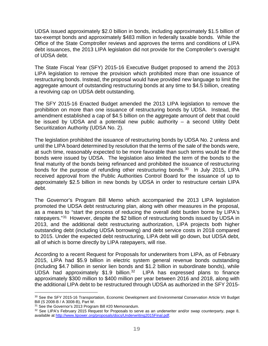UDSA issued approximately \$2.0 billion in bonds, including approximately \$1.5 billion of tax-exempt bonds and approximately \$483 million in federally taxable bonds. While the Office of the State Comptroller reviews and approves the terms and conditions of LIPA debt issuances, the 2013 LIPA legislation did not provide for the Comptroller's oversight of UDSA debt.

The State Fiscal Year (SFY) 2015-16 Executive Budget proposed to amend the 2013 LIPA legislation to remove the provision which prohibited more than one issuance of restructuring bonds. Instead, the proposal would have provided new language to limit the aggregate amount of outstanding restructuring bonds at any time to \$4.5 billion, creating a revolving cap on UDSA debt outstanding.

The SFY 2015-16 Enacted Budget amended the 2013 LIPA legislation to remove the prohibition on more than one issuance of restructuring bonds by UDSA. Instead, the amendment established a cap of \$4.5 billion on the aggregate amount of debt that could be issued by UDSA and a potential new public authority – a second Utility Debt Securitization Authority (UDSA No. 2).

The legislation prohibited the issuance of restructuring bonds by UDSA No. 2 unless and until the LIPA board determined by resolution that the terms of the sale of the bonds were, at such time, reasonably expected to be more favorable than such terms would be if the bonds were issued by UDSA. The legislation also limited the term of the bonds to the final maturity of the bonds being refinanced and prohibited the issuance of restructuring bonds for the purpose of refunding other restructuring bonds.<sup>[30](#page-22-0)</sup> In July 2015, LIPA received approval from the Public Authorities Control Board for the issuance of up to approximately \$2.5 billion in new bonds by UDSA in order to restructure certain LIPA debt.

The Governor's Program Bill Memo which accompanied the 2013 LIPA legislation promoted the UDSA debt restructuring plan, along with other measures in the proposal, as a means to "start the process of reducing the overall debt burden borne by LIPA's ratepayers."<sup>[31](#page-22-1)</sup> However, despite the \$2 billion of restructuring bonds issued by UDSA in 2013, and the additional debt restructuring authorization, LIPA projects both higher outstanding debt (including UDSA borrowing) and debt service costs in 2018 compared to 2015. Under the expected debt restructuring, LIPA debt will go down, but UDSA debt, all of which is borne directly by LIPA ratepayers, will rise.

According to a recent Request for Proposals for underwriters from LIPA, as of February 2015, LIPA had \$5.9 billion in electric system general revenue bonds outstanding (including \$4.7 billion in senior lien bonds and \$1.2 billion in subordinate bonds), while UDSA had approximately  $$1.9$  billion.<sup>[32](#page-22-2)</sup> LIPA has expressed plans to finance approximately \$300 million to \$400 million per year between 2016 and 2018, along with the additional LIPA debt to be restructured through UDSA as authorized in the SFY 2015-

 $\overline{a}$ 

<span id="page-22-0"></span><sup>&</sup>lt;sup>30</sup> See the SFY 2015-16 Transportation, Economic Development and Environmental Conservation Article VII Budget Bill (S 2008-B / A 3008-B), Part W.<br><sup>31</sup> See the Governor's 2013 Program Bill #20 Memorandum.

<span id="page-22-1"></span>

<span id="page-22-2"></span> $32$  See LIPA's February 2015 Request for Proposals to serve as an underwriter and/or swap counterparty, page 8, available at [http://www.lipower.org/proposals/docs/Underwriting2015Final.pdf.](http://www.lipower.org/proposals/docs/Underwriting2015Final.pdf)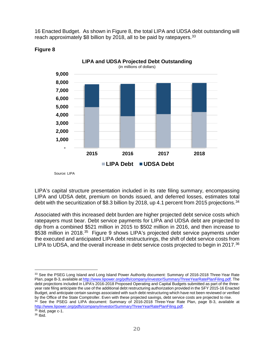16 Enacted Budget. As shown in Figure 8, the total LIPA and UDSA debt outstanding will reach approximately \$8 billion by 2018, all to be paid by ratepayers.<sup>[33](#page-23-0)</sup>



#### **Figure 8**

Source: LIPA

LIPA's capital structure presentation included in its rate filing summary, encompassing LIPA and UDSA debt, premium on bonds issued, and deferred losses, estimates total debt with the securitization of \$8.3 billion by 2018, up 4.1 percent from 2015 projections.<sup>[34](#page-23-1)</sup>

Associated with this increased debt burden are higher projected debt service costs which ratepayers must bear. Debt service payments for LIPA and UDSA debt are projected to dip from a combined \$521 million in 2015 to \$502 million in 2016, and then increase to \$538 million in 2018.<sup>[35](#page-23-2)</sup> Figure 9 shows LIPA's projected debt service payments under the executed and anticipated LIPA debt restructurings, the shift of debt service costs from LIPA to UDSA, and the overall increase in debt service costs projected to begin in 2017.<sup>[36](#page-23-3)</sup>

<span id="page-23-0"></span><sup>33</sup> See the PSEG Long Island and Long Island Power Authority document: Summary of 2016-2018 Three-Year Rate Plan, page B-3, available a[t http://www.lipower.org/pdfs/company/investor/SummaryThreeYearRatePlanFiling.pdf.](http://www.lipower.org/pdfs/company/investor/SummaryThreeYearRatePlanFiling.pdf) The debt projections included in LIPA's 2016-2018 Proposed Operating and Capital Budgets submitted as part of the threeyear rate filing anticipate the use of the additional debt restructuring authorization provided in the SFY 2015-16 Enacted Budget, and anticipate certain savings associated with such debt restructuring which have not been reviewed or verified by the Office of the State Comptroller. Even with these projected savings, debt service costs are projected to rise.  $\overline{a}$ 

<span id="page-23-1"></span><sup>34</sup> See the PSEG and LIPA document: Summary of 2016-2018 Three-Year Rate Plan, page B-3, available at [http://www.lipower.org/pdfs/company/investor/SummaryThreeYearRatePlanFiling.pdf.](http://www.lipower.org/pdfs/company/investor/SummaryThreeYearRatePlanFiling.pdf)

<span id="page-23-2"></span> $35$  Ibid, page c-1.

<span id="page-23-3"></span> $36$  Ibid.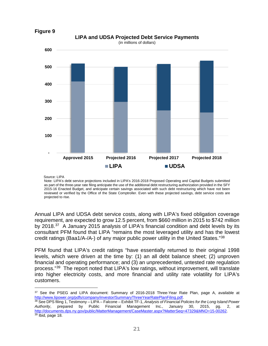

**Figure 9**

Source: LIPA

Note: LIPA's debt service projections included in LIPA's 2016-2018 Proposed Operating and Capital Budgets submitted as part of the three-year rate filing anticipate the use of the additional debt restructuring authorization provided in the SFY 2015-16 Enacted Budget, and anticipate certain savings associated with such debt restructuring which have not been reviewed or verified by the Office of the State Comptroller. Even with these projected savings, debt service costs are projected to rise.

Annual LIPA and UDSA debt service costs, along with LIPA's fixed obligation coverage requirement, are expected to grow 12.5 percent, from \$660 million in 2015 to \$742 million by 2018.<sup>[37](#page-24-0)</sup> A January 2015 analysis of LIPA's financial condition and debt levels by its consultant PFM found that LIPA "remains the most leveraged utility and has the lowest credit ratings (Baa1/A-/A-) of any major public power utility in the United States."[38](#page-24-1)

PFM found that LIPA's credit ratings "have essentially returned to their original 1998 levels, which were driven at the time by: (1) an all debt balance sheet; (2) unproven financial and operating performance; and (3) an unprecedented, untested rate regulation process."[39](#page-24-2) The report noted that LIPA's low ratings, without improvement, will translate into higher electricity costs, and more financial and utility rate volatility for LIPA's customers.

<span id="page-24-0"></span><sup>37</sup> See the PSEG and LIPA document: Summary of 2016-2018 Three-Year Rate Plan, page A, available at [http://www.lipower.org/pdfs/company/investor/SummaryThreeYearRatePlanFiling.pdf.](http://www.lipower.org/pdfs/company/investor/SummaryThreeYearRatePlanFiling.pdf)  $\overline{a}$ 

<span id="page-24-2"></span><span id="page-24-1"></span><sup>38</sup> See DPS filing 1, Testimony – LIPA – Falcone – Exhibit TF-1, *Analysis of Financial Policies for the Long Island Power Authority*, prepared by Public Financial Management Inc., January 30, 2015, pg. 2, at [http://documents.dps.ny.gov/public/MatterManagement/CaseMaster.aspx?MatterSeq=47329&MNO=15-00262.](http://documents.dps.ny.gov/public/MatterManagement/CaseMaster.aspx?MatterSeq=47329&MNO=15-00262)  $39$  Ibid, page 18.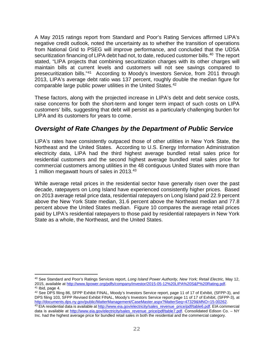A May 2015 ratings report from Standard and Poor's Rating Services affirmed LIPA's negative credit outlook, noted the uncertainty as to whether the transition of operations from National Grid to PSEG will improve performance, and concluded that the UDSA securitization financing of LIPA debt had not, to date, reduced customer bills.<sup>[40](#page-25-1)</sup> The report stated, "LIPA projects that combining securitization charges with its other charges will maintain bills at current levels and customers will not see savings compared to presecuritization bills."[41](#page-25-2) According to Moody's Investors Service, from 2011 through 2013, LIPA's average debt ratio was 137 percent, roughly double the median figure for comparable large public power utilities in the United States.[42](#page-25-3)

These factors, along with the projected increase in LIPA's debt and debt service costs, raise concerns for both the short-term and longer term impact of such costs on LIPA customers' bills, suggesting that debt will persist as a particularly challenging burden for LIPA and its customers for years to come.

## <span id="page-25-0"></span>*Oversight of Rate Changes by the Department of Public Service*

LIPA's rates have consistently outpaced those of other utilities in New York State, the Northeast and the United States. According to U.S. Energy Information Administration electricity data, LIPA had the third highest average bundled retail sales price for residential customers and the second highest average bundled retail sales price for commercial customers among utilities in the 48 contiguous United States with more than 1 million megawatt hours of sales in 2013.[43](#page-25-4)

While average retail prices in the residential sector have generally risen over the past decade, ratepayers on Long Island have experienced consistently higher prices. Based on 2013 average retail price data, residential ratepayers on Long Island paid 22.9 percent above the New York State median, 31.6 percent above the Northeast median and 77.8 percent above the United States median. Figure 10 compares the average retail prices paid by LIPA's residential ratepayers to those paid by residential ratepayers in New York State as a whole, the Northeast, and the United States.

<span id="page-25-1"></span><sup>40</sup> See Standard and Poor's Ratings Services report, *Long Island Power Authority, New York; Retail Electric,* May 12, 2015, available at [http://www.lipower.org/pdfs/company/investor/2015-05-12%20LIPA%20S&P%20Rating.pdf.](http://www.lipower.org/pdfs/company/investor/2015-05-12%20LIPA%20S&P%20Rating.pdf) <sup>41</sup> Ibid, page 4.  $\overline{a}$ 

<span id="page-25-3"></span><span id="page-25-2"></span><sup>42</sup> See DPS filing 86, SFPP Exhibit FINAL, Moody's Investors Service report, page 11 of 17 of Exhibit, (SFPP-3), and DPS filing 103, SFPP Revised Exhibit FINAL, Moody's Investors Service report page 11 of 17 of Exhibit, (SFPP-3), at http://documents.dps.ny.gov/public/MatterManagement/CaseMaster.aspx?MatterSeq=47329&MNO=15-00262.

<span id="page-25-4"></span><sup>43</sup> EIA residential data is available a[t http://www.eia.gov/electricity/sales\\_revenue\\_price/pdf/table6.pdf.](http://www.eia.gov/electricity/sales_revenue_price/pdf/table6.pdf) EIA commercial data is available at [http://www.eia.gov/electricity/sales\\_revenue\\_price/pdf/table7.pdf.](http://www.eia.gov/electricity/sales_revenue_price/pdf/table7.pdf) Consolidated Edison Co. – NY Inc. had the highest average price for bundled retail sales in both the residential and the commercial category.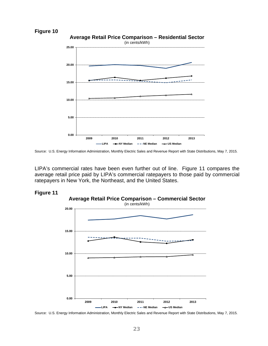



Source: U.S. Energy Information Administration, Monthly Electric Sales and Revenue Report with State Distributions, May 7, 2015.

LIPA's commercial rates have been even further out of line. Figure 11 compares the average retail price paid by LIPA's commercial ratepayers to those paid by commercial ratepayers in New York, the Northeast, and the United States.





Source: U.S. Energy Information Administration, Monthly Electric Sales and Revenue Report with State Distributions, May 7, 2015.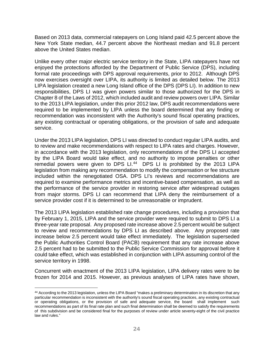Based on 2013 data, commercial ratepayers on Long Island paid 42.5 percent above the New York State median, 44.7 percent above the Northeast median and 91.8 percent above the United States median.

Unlike every other major electric service territory in the State, LIPA ratepayers have not enjoyed the protections afforded by the Department of Public Service (DPS), including formal rate proceedings with DPS approval requirements, prior to 2012. Although DPS now exercises oversight over LIPA, its authority is limited as detailed below. The 2013 LIPA legislation created a new Long Island office of the DPS (DPS LI). In addition to new responsibilities, DPS LI was given powers similar to those authorized for the DPS in Chapter 8 of the Laws of 2012, which included audit and review powers over LIPA. Similar to the 2013 LIPA legislation, under this prior 2012 law, DPS audit recommendations were required to be implemented by LIPA unless the board determined that any finding or recommendation was inconsistent with the Authority's sound fiscal operating practices, any existing contractual or operating obligations, or the provision of safe and adequate service.

Under the 2013 LIPA legislation, DPS LI was directed to conduct regular LIPA audits, and to review and make recommendations with respect to LIPA rates and charges. However, in accordance with the 2013 legislation, only recommendations of the DPS LI accepted by the LIPA Board would take effect, and no authority to impose penalties or other remedial powers were given to DPS LI.<sup>[44](#page-27-0)</sup> DPS LI is prohibited by the 2013 LIPA legislation from making any recommendation to modify the compensation or fee structure included within the renegotiated OSA. DPS LI's reviews and recommendations are required to examine performance metrics and incentive-based compensation, as well as the performance of the service provider in restoring service after widespread outages from major storms. DPS LI can recommend that LIPA deny the reimbursement of a service provider cost if it is determined to be unreasonable or imprudent.

The 2013 LIPA legislation established rate change procedures, including a provision that by February 1, 2015, LIPA and the service provider were required to submit to DPS LI a three-year rate proposal. Any proposed rate increase above 2.5 percent would be subject to review and recommendations by DPS LI as described above. Any proposed rate increase below 2.5 percent would take effect immediately. The legislation superseded the Public Authorities Control Board (PACB) requirement that any rate increase above 2.5 percent had to be submitted to the Public Service Commission for approval before it could take effect, which was established in conjunction with LIPA assuming control of the service territory in 1998.

Concurrent with enactment of the 2013 LIPA legislation, LIPA delivery rates were to be frozen for 2014 and 2015. However, as previous analyses of LIPA rates have shown,

 $\overline{a}$ 

<span id="page-27-0"></span><sup>44</sup> According to the 2013 legislation, unless the LIPA Board "makes a preliminary determination in its discretion that any particular recommendation is inconsistent with the authority's sound fiscal operating practices, any existing contractual or operating obligations, or the provision of safe and adequate service, the board shall implement such recommendations as part of its final rate plan and such final determination shall be deemed to satisfy the requirements of this subdivision and be considered final for the purposes of review under article seventy-eight of the civil practice law and rules."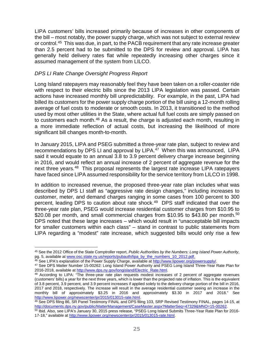LIPA customers' bills increased primarily because of increases in other components of the bill – most notably, the power supply charge, which was not subject to external review or control.<sup>[45](#page-28-0)</sup> This was due, in part, to the PACB requirement that any rate increase greater than 2.5 percent had to be submitted to the DPS for review and approval. LIPA has generally held delivery rates flat while repeatedly increasing other charges since it assumed management of the system from LILCO.

#### *DPS LI Rate Change Oversight Progress Report*

 $\overline{a}$ 

Long Island ratepayers may reasonably feel they have been taken on a roller-coaster ride with respect to their electric bills since the 2013 LIPA legislation was passed. Certain actions have increased monthly bill unpredictability. For example, in the past, LIPA had billed its customers for the power supply charge portion of the bill using a 12-month rolling average of fuel costs to moderate or smooth costs. In 2013, it transitioned to the method used by most other utilities in the State, where actual full fuel costs are simply passed on to customers each month.[46](#page-28-1) As a result, the charge is adjusted each month, resulting in a more immediate reflection of actual costs, but increasing the likelihood of more significant bill changes month-to-month.

In January 2015, LIPA and PSEG submitted a three-year rate plan, subject to review and recommendations by DPS LI and approval by LIPA. $47$  When this was announced, LIPA said it would equate to an annual 3.8 to 3.9 percent delivery charge increase beginning in 2016, and would reflect an annual increase of 2 percent of aggregate revenue for the next three years.[48](#page-28-3) This proposal represents the largest rate increase LIPA ratepayers have faced since LIPA assumed responsibility for the service territory from LILCO in 1998.

In addition to increased revenue, the proposed three-year rate plan includes what was described by DPS LI staff as "aggressive rate design changes," including increases to customer, meter, and demand charges ranging in some cases from 100 percent to 300 percent, leading DPS to caution about rate shock.<sup>[49](#page-28-4)</sup> DPS staff indicated that over the three-year rate plan, PSEG would increase residential customer charges from \$10.95 to \$20.08 per month, and small commercial charges from \$10.95 to \$43.80 per month.<sup>[50](#page-28-5)</sup> DPS noted that these large increases – which would result in "unacceptable bill impacts for smaller customers within each class" – stand in contrast to public statements from LIPA regarding a "modest" rate increase, which suggested bills would only rise a few

<span id="page-28-0"></span><sup>45</sup> See the 2012 Office of the State Comptroller report, *Public Authorities by the Numbers: Long Island Power Authority*, pg. 5, available at <u>www.osc.state.ny.us/reports/pubauth/lipa\_by\_the\_numbers\_10\_2012.pdf.</u>

<sup>&</sup>lt;sup>46</sup> See LIPA's explanation of the Power Supply Charge, available a[t http://www.lipower.org/powersupply/.](http://www.lipower.org/powersupply/)

<span id="page-28-2"></span><span id="page-28-1"></span><sup>47</sup> See DPS Matter Number 15-00262: Long Island Power Authority and PSEG Long Island Three-Year Rate Plan for 2016-2018, available at [http://www.dps.ny.gov/longisland/Electric\\_Rate.html.](http://www.dps.ny.gov/longisland/Electric_Rate.html)

<span id="page-28-3"></span><sup>48</sup> According to LIPA: "The three-year rate plan requests modest increases of 2 percent of aggregate revenues (customers' bills) a year for the next three years, which is lower than the projected rate of inflation. This is the equivalent of 3.8 percent, 3.9 percent, and 3.9 percent increases if applied solely to the delivery charge portion of the bill in 2016, 2017 and 2018, respectively. The increase will result in the average residential customer seeing an increase in the monthly bill of approximately \$3.25 in 2016 and approximately \$3.30 in 2017 and 2018." See [http://www.lipower.org/newscenter/pr/2015/013015-rate.html.](http://www.lipower.org/newscenter/pr/2015/013015-rate.html)

<span id="page-28-4"></span><sup>49</sup> See DPS filing 86, SR Panel Testimony FINAL and DPS filing 103, SRP Revised Testimony FINAL, pages 14-15, at [http://documents.dps.ny.gov/public/MatterManagement/CaseMaster.aspx?MatterSeq=47329&MNO=15-00262.](http://documents.dps.ny.gov/public/MatterManagement/CaseMaster.aspx?MatterSeq=47329&MNO=15-00262)

<span id="page-28-5"></span><sup>50</sup> Ibid. Also, see LIPA's January 30, 2015 press release, "PSEG Long Island Submits Three-Year Rate Plan for 2016- 17-18," available at [http://www.lipower.org/newscenter/pr/2015/013015-rate.html.](http://www.lipower.org/newscenter/pr/2015/013015-rate.html)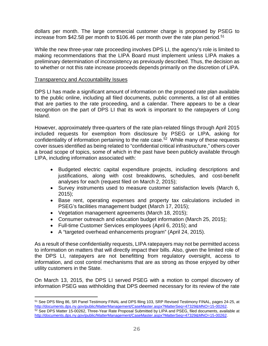dollars per month. The large commercial customer charge is proposed by PSEG to increase from \$42.58 per month to \$106.46 per month over the rate plan period.<sup>[51](#page-29-0)</sup>

While the new three-year rate proceeding involves DPS LI, the agency's role is limited to making recommendations that the LIPA Board must implement unless LIPA makes a preliminary determination of inconsistency as previously described. Thus, the decision as to whether or not this rate increase proceeds depends primarily on the discretion of LIPA.

#### Transparency and Accountability Issues

 $\overline{a}$ 

DPS LI has made a significant amount of information on the proposed rate plan available to the public online, including all filed documents, public comments, a list of all entities that are parties to the rate proceeding, and a calendar. There appears to be a clear recognition on the part of DPS LI that its work is important to the ratepayers of Long Island.

However, approximately three-quarters of the rate plan-related filings through April 2015 included requests for exemption from disclosure by PSEG or LIPA, asking for confidentiality of information pertaining to the rate case.<sup>[52](#page-29-1)</sup> While many of these requests cover issues identified as being related to "confidential critical infrastructure," others cover a broad scope of topics, some of which in the past have been publicly available through LIPA, including information associated with:

- Budgeted electric capital expenditure projects, including descriptions and justifications, along with cost breakdowns, schedules, and cost-benefit analyses for each (request filed on March 2, 2015);
- Survey instruments used to measure customer satisfaction levels (March 6, 2015);
- Base rent, operating expenses and property tax calculations included in PSEG's facilities management budget (March 17, 2015);
- Vegetation management agreements (March 18, 2015);
- Consumer outreach and education budget information (March 25, 2015);
- Full-time Customer Services employees (April 6, 2015); and
- A "targeted overhead enhancements program" (April 24, 2015).

As a result of these confidentiality requests, LIPA ratepayers may not be permitted access to information on matters that will directly impact their bills. Also, given the limited role of the DPS LI, ratepayers are not benefitting from regulatory oversight, access to information, and cost control mechanisms that are as strong as those enjoyed by other utility customers in the State.

On March 13, 2015, the DPS LI served PSEG with a motion to compel discovery of information PSEG was withholding that DPS deemed necessary for its review of the rate

<span id="page-29-0"></span><sup>51</sup> See DPS filing 86, SR Panel Testimony FINAL and DPS filing 103, SRP Revised Testimony FINAL, pages 24-25, at [http://documents.dps.ny.gov/public/MatterManagement/CaseMaster.aspx?MatterSeq=47329&MNO=15-00262.](http://documents.dps.ny.gov/public/MatterManagement/CaseMaster.aspx?MatterSeq=47329&MNO=15-00262)

<span id="page-29-1"></span><sup>52</sup> See DPS Matter 15-00262, Three-Year Rate Proposal Submitted by LIPA and PSEG, filed documents, available at [http://documents.dps.ny.gov/public/MatterManagement/CaseMaster.aspx?MatterSeq=47329&MNO=15-00262.](http://documents.dps.ny.gov/public/MatterManagement/CaseMaster.aspx?MatterSeq=47329&MNO=15-00262)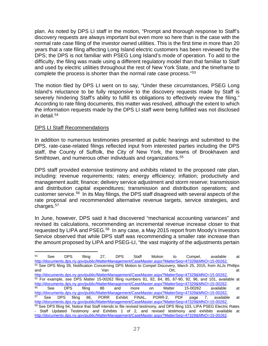plan. As noted by DPS LI staff in the motion, "Prompt and thorough response to Staff's discovery requests are always important but even more so here than is the case with the normal rate case filing of the investor owned utilities. This is the first time in more than 20 years that a rate filing affecting Long Island electric customers has been reviewed by the DPS; the DPS is not familiar with PSEG Long Island's mode of operation. To add to the difficulty, the filing was made using a different regulatory model than that familiar to Staff and used by electric utilities throughout the rest of New York State, and the timeframe to complete the process is shorter than the normal rate case process."[53](#page-30-0)

The motion filed by DPS LI went on to say, "Under these circumstances, PSEG Long Island's reluctance to be fully responsive to the discovery requests made by Staff is severely hindering Staff's ability to fulfill its obligations to effectively review the filing." According to rate filing documents, this matter was resolved, although the extent to which the information requests made by the DPS LI staff were being fulfilled was not disclosed in detail.[54](#page-30-1)

#### DPS LI Staff Recommendations

In addition to numerous testimonies presented at public hearings and submitted to the DPS, rate-case-related filings reflected input from interested parties including the DPS staff, the County of Suffolk, the City of New York, the towns of Brookhaven and Smithtown, and numerous other individuals and organizations.<sup>[55](#page-30-2)</sup>

DPS staff provided extensive testimony and exhibits related to the proposed rate plan, including: revenue requirements; rates; energy efficiency; inflation; productivity and management audit; finance; delivery service adjustment and storm reserve; transmission and distribution capital expenditures; transmission and distribution operations; and customer service.[56](#page-30-3) In its May filings, the DPS staff disagreed with several aspects of the rate proposal and recommended alternative revenue targets, service strategies, and charges.<sup>[57](#page-30-4)</sup>

In June, however, DPS said it had discovered "mechanical accounting variances" and revised its calculations, recommending an incremental revenue increase closer to that requested by LIPA and PSEG.<sup>[58](#page-30-5)</sup> In any case, a May 2015 report from Moody's Investors Service observed that while DPS staff was recommending a smaller rate increase than the amount proposed by LIPA and PSEG-LI, "the vast majority of the adjustments pertain

<span id="page-30-5"></span><span id="page-30-4"></span><span id="page-30-3"></span><span id="page-30-2"></span><span id="page-30-1"></span><span id="page-30-0"></span><sup>53</sup> See DPS filing 27, DPS Staff Motion to Compel, available at [http://documents.dps.ny.gov/public/MatterManagement/CaseMaster.aspx?MatterSeq=47329&MNO=15-00262.](http://documents.dps.ny.gov/public/MatterManagement/CaseMaster.aspx?MatterSeq=47329&MNO=15-00262) <sup>54</sup> See DPS filing 39, Notification Concerning DPS Motion to Compel Discovery, March 25, 2015, from ALJs Phillips and and  $V$ an  $V$ an  $V$ an at  $\mathsf{C}$ rt, at at  $\mathsf{C}$ [http://documents.dps.ny.gov/public/MatterManagement/CaseMaster.aspx?MatterSeq=47329&MNO=15-00262.](http://documents.dps.ny.gov/public/MatterManagement/CaseMaster.aspx?MatterSeq=47329&MNO=15-00262) <sup>55</sup> For example, see DPS Matter 15-00262 filing numbers 81, 82, 84, 85, 87-90, 92, 96, and 101, available at [http://documents.dps.ny.gov/public/MatterManagement/CaseMaster.aspx?MatterSeq=47329&MNO=15-00262.](http://documents.dps.ny.gov/public/MatterManagement/CaseMaster.aspx?MatterSeq=47329&MNO=15-00262)<br>
See DPS filing 86 and more on Matter 15-00262 available <sup>56</sup> See DPS filing 86 and more on Matter 15-00262 available at [http://documents.dps.ny.gov/public/MatterManagement/CaseMaster.aspx?MatterSeq=47329&MNO=15-00262.](http://documents.dps.ny.gov/public/MatterManagement/CaseMaster.aspx?MatterSeq=47329&MNO=15-00262)<br>
57 See DPS filing 86, PORR Exhibit FINAL, PORR-2, PDF page 7, availabl See DPS filing 86, PORR Exhibit FINAL, PORR-2, PDF page 7, available at [http://documents.dps.ny.gov/public/MatterManagement/CaseMaster.aspx?MatterSeq=47329&MNO=15-00262.](http://documents.dps.ny.gov/public/MatterManagement/CaseMaster.aspx?MatterSeq=47329&MNO=15-00262) 58 See DPS filing 94, Notice that Staff intends to file revised testimony, and DPS filing 103, LIPA PSEG Electric Rates - Staff Updated Testimony and Exhibits 1 of 2, and revised testimony and exhibits available at [http://documents.dps.ny.gov/public/MatterManagement/CaseMaster.aspx?MatterSeq=47329&MNO=15-00262.](http://documents.dps.ny.gov/public/MatterManagement/CaseMaster.aspx?MatterSeq=47329&MNO=15-00262)  $\overline{a}$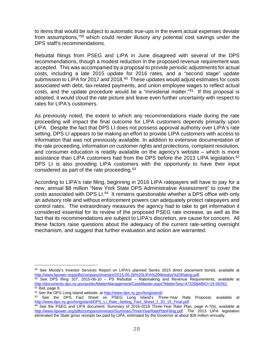to items that would be subject to automatic true-ups in the event actual expenses deviate from assumptions,"[59](#page-31-0) which could render illusory any potential cost savings under the DPS staff's recommendations.

Rebuttal filings from PSEG and LIPA in June disagreed with several of the DPS recommendations, though a modest reduction in the proposed revenue requirement was accepted. This was accompanied by a proposal to provide periodic adjustments for actual costs, including a late 2015 update for 2016 rates, and a "second stage" update submission to LIPA for 2017 and  $2018<sup>60</sup>$  $2018<sup>60</sup>$  $2018<sup>60</sup>$  These updates would adjust estimates for costs associated with debt, tax-related payments, and union employee wages to reflect actual costs, and the update procedure would be a "ministerial matter."[61](#page-31-2) If this proposal is adopted, it would cloud the rate picture and leave even further uncertainty with respect to rates for LIPA's customers.

As previously noted, the extent to which any recommendations made during the rate proceeding will impact the final outcome for LIPA customers depends primarily upon LIPA. Despite the fact that DPS LI does not possess approval authority over LIPA's rate setting, DPS LI appears to be making an effort to provide LIPA customers with access to information that was not previously available. In addition to extensive documentation of the rate proceeding, information on customer rights and protections, complaint resolution, and consumer education is readily available on the agency's website – which is more assistance than LIPA customers had from the DPS before the 2013 LIPA legislation.<sup>[62](#page-31-3)</sup> DPS LI is also providing LIPA customers with the opportunity to have their input considered as part of the rate proceeding. $63$ 

According to LIPA's rate filing, beginning in 2016 LIPA ratepayers will have to pay for a new, annual \$8 million "New York State DPS Administrative Assessment" to cover the costs associated with DPS LI.<sup>[64](#page-31-5)</sup> It remains questionable whether a DPS office with only an advisory role and without enforcement powers can adequately protect ratepayers and control rates. The extraordinary measures the agency had to take to get information it considered essential for its review of the proposed PSEG rate increase, as well as the fact that its recommendations are subject to LIPA's discretion, are cause for concern. All these factors raise questions about the adequacy of the current rate-setting oversight mechanism, and suggest that further evaluation and action are warranted.

 $\overline{a}$ 

<span id="page-31-0"></span><sup>59</sup> See Moody's Investor Services Report on LIPA's planned Series 2015 direct placement bonds, available at [http://www.lipower.org/pdfs/company/investor/2015-05-26%20LIPA%20Moodys%20Rating.pdf.](http://www.lipower.org/pdfs/company/investor/2015-05-26%20LIPA%20Moodys%20Rating.pdf)

<span id="page-31-1"></span> $^{60}$  See DPS filing 107, 2015-06-10 – PS Rebuttal – Ratemaking and Revenue Requirements, available at [http://documents.dps.ny.gov/public/MatterManagement/CaseMaster.aspx?MatterSeq=47329&MNO=15-00262.](http://documents.dps.ny.gov/public/MatterManagement/CaseMaster.aspx?MatterSeq=47329&MNO=15-00262)  $61$  Ibid, page 9.

<span id="page-31-2"></span><sup>62</sup> See the DPS Long Island website, a[t http://www.dps.ny.gov/longisland/.](http://www.dps.ny.gov/longisland/)

<span id="page-31-4"></span><span id="page-31-3"></span><sup>63</sup> See the DPS Fact Sheet on PSEG Long Island's Three-Year Rate Proposal, available at [http://www.dps.ny.gov/longisland/DPS\\_LI\\_Rate\\_Setting\\_Fact\\_Sheet\\_2\\_20\\_15\\_Final.pdf.](http://www.dps.ny.gov/longisland/DPS_LI_Rate_Setting_Fact_Sheet_2_20_15_Final.pdf)

<span id="page-31-5"></span> $64$  See the PSEG and LIPA document: Summary of 2016-2018 Three-Year Rate Plan, page A-7(b), available at [http://www.lipower.org/pdfs/company/investor/SummaryThreeYearRatePlanFiling.pdf.](http://www.lipower.org/pdfs/company/investor/SummaryThreeYearRatePlanFiling.pdf) The 2013 LIPA legislation eliminated the State gross receipts tax paid by LIPA, estimated by the Governor at about \$26 million annually.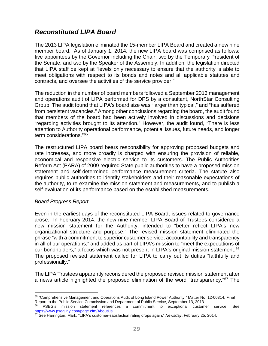## <span id="page-32-0"></span>*Reconstituted LIPA Board*

The 2013 LIPA legislation eliminated the 15-member LIPA Board and created a new nine member board. As of January 1, 2014, the new LIPA board was comprised as follows: five appointees by the Governor including the Chair, two by the Temporary President of the Senate, and two by the Speaker of the Assembly. In addition, the legislation directed that LIPA staff be kept at "levels only necessary to ensure that the authority is able to meet obligations with respect to its bonds and notes and all applicable statutes and contracts, and oversee the activities of the service provider."

The reduction in the number of board members followed a September 2013 management and operations audit of LIPA performed for DPS by a consultant, NorthStar Consulting Group. The audit found that LIPA's board size was "larger than typical," and "has suffered from persistent vacancies." Among other conclusions regarding the board, the audit found that members of the board had been actively involved in discussions and decisions "regarding activities brought to its attention." However, the audit found, "There is less attention to Authority operational performance, potential issues, future needs, and longer term considerations."[65](#page-32-1)

The restructured LIPA board bears responsibility for approving proposed budgets and rate increases, and more broadly is charged with ensuring the provision of reliable, economical and responsive electric service to its customers. The Public Authorities Reform Act (PARA) of 2009 required State public authorities to have a proposed mission statement and self-determined performance measurement criteria. The statute also requires public authorities to identify stakeholders and their reasonable expectations of the authority, to re-examine the mission statement and measurements, and to publish a self-evaluation of its performance based on the established measurements.

#### *Board Progress Report*

 $\overline{a}$ 

Even in the earliest days of the reconstituted LIPA Board, issues related to governance arose. In February 2014, the new nine-member LIPA Board of Trustees considered a new mission statement for the Authority, intended to "better reflect LIPA's new organizational structure and purpose." The revised mission statement eliminated the phrase "with a commitment to superior customer service, accountability and transparency in all of our operations," and added as part of LIPA's mission to "meet the expectations of our bondholders," a focus which was not present in LIPA's original mission statement.<sup>66</sup> The proposed revised statement called for LIPA to carry out its duties "faithfully and professionally."

The LIPA Trustees apparently reconsidered the proposed revised mission statement after a news article highlighted the proposed elimination of the word "transparency."[67](#page-32-3) The

<span id="page-32-1"></span><sup>65</sup> "Comprehensive Management and Operations Audit of Long Island Power Authority," Matter No. 12-00314, Final Report to the Public Service Commission and Department of Public Service, September 13, 2013.

<span id="page-32-2"></span>PSEG's mission statement references a commitment to exceptional customer service. See [https://www.psegliny.com/page.cfm/AboutUs.](https://www.psegliny.com/page.cfm/AboutUs)

<span id="page-32-3"></span><sup>67</sup> See Harrington, Mark, "LIPA's customer-satisfaction rating drops again," *Newsday*, February 25, 2014.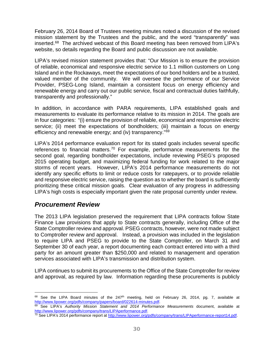February 26, 2014 Board of Trustees meeting minutes noted a discussion of the revised mission statement by the Trustees and the public, and the word "transparently" was inserted.[68](#page-33-1) The archived webcast of this Board meeting has been removed from LIPA's website, so details regarding the Board and public discussion are not available.

LIPA's revised mission statement provides that: "Our Mission is to ensure the provision of reliable, economical and responsive electric service to 1.1 million customers on Long Island and in the Rockaways, meet the expectations of our bond holders and be a trusted, valued member of the community. We will oversee the performance of our Service Provider, PSEG-Long Island, maintain a consistent focus on energy efficiency and renewable energy and carry out our public service, fiscal and contractual duties faithfully, transparently and professionally."

In addition, in accordance with PARA requirements, LIPA established goals and measurements to evaluate its performance relative to its mission in 2014. The goals are in four categories: "(i) ensure the provision of reliable, economical and responsive electric service; (ii) meet the expectations of bondholders; (iii) maintain a focus on energy efficiency and renewable energy; and (iv) transparency."<sup>[69](#page-33-2)</sup>

LIPA's 2014 performance evaluation report for its stated goals includes several specific references to financial matters.<sup>[70](#page-33-3)</sup> For example, performance measurements for the second goal, regarding bondholder expectations, include reviewing PSEG's proposed 2015 operating budget, and maximizing federal funding for work related to the major storms of recent years. However, LIPA's 2014 performance measurements do not identify any specific efforts to limit or reduce costs for ratepayers, or to provide reliable and responsive electric service, raising the question as to whether the board is sufficiently prioritizing these critical mission goals. Clear evaluation of any progress in addressing LIPA's high costs is especially important given the rate proposal currently under review.

### <span id="page-33-0"></span>*Procurement Review*

 $\overline{a}$ 

The 2013 LIPA legislation preserved the requirement that LIPA contracts follow State Finance Law provisions that apply to State contracts generally, including Office of the State Comptroller review and approval. PSEG contracts, however, were not made subject to Comptroller review and approval. Instead, a provision was included in the legislation to require LIPA and PSEG to provide to the State Comptroller, on March 31 and September 30 of each year, a report documenting each contract entered into with a third party for an amount greater than \$250,000 and related to management and operation services associated with LIPA's transmission and distribution system.

LIPA continues to submit its procurements to the Office of the State Comptroller for review and approval, as required by law. Information regarding these procurements is publicly

<span id="page-33-1"></span><sup>68</sup> See the LIPA Board minutes of the 247<sup>th</sup> meeting, held on February 26, 2014, pg. 7, available at [http://www.lipower.org/pdfs/company/papers/board/022614-minutes.pdf.](http://www.lipower.org/pdfs/company/papers/board/022614-minutes.pdf)

<span id="page-33-2"></span><sup>69</sup> See LIPA's *Authority Mission Statement and 2014 Performance Measurements* document, available at [http://www.lipower.org/pdfs/company/trans/LIPAperformance.pdf.](http://www.lipower.org/pdfs/company/trans/LIPAperformance.pdf)

<span id="page-33-3"></span> $\frac{70}{10}$  See LIPA's 2014 performance report at [http://www.lipower.org/pdfs/company/trans/LIPAperformance-report14.pdf.](http://www.lipower.org/pdfs/company/trans/LIPAperformance-report14.pdf)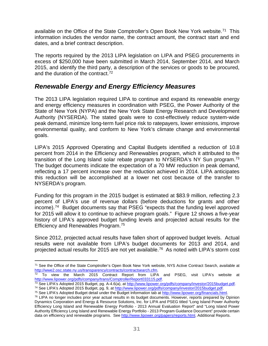available on the Office of the State Comptroller's Open Book New York website.<sup>[71](#page-34-1)</sup> This information includes the vendor name, the contract amount, the contract start and end dates, and a brief contract description.

The reports required by the 2013 LIPA legislation on LIPA and PSEG procurements in excess of \$250,000 have been submitted in March 2014, September 2014, and March 2015, and identify the third party, a description of the services or goods to be procured, and the duration of the contract. [72](#page-34-2)

### <span id="page-34-0"></span>*Renewable Energy and Energy Efficiency Measures*

The 2013 LIPA legislation required LIPA to continue and expand its renewable energy and energy efficiency measures in coordination with PSEG, the Power Authority of the State of New York (NYPA) and the New York State Energy Research and Development Authority (NYSERDA). The stated goals were to cost-effectively reduce system-wide peak demand, minimize long-term fuel price risk to ratepayers, lower emissions, improve environmental quality, and conform to New York's climate change and environmental goals.

LIPA's 2015 Approved Operating and Capital Budgets identified a reduction of 10.8 percent from 2014 in the Efficiency and Renewables program, which it attributed to the transition of the Long Island solar rebate program to NYSERDA's NY Sun program.[73](#page-34-3) The budget documents indicate the expectation of a 70 MW reduction in peak demand, reflecting a 17 percent increase over the reduction achieved in 2014. LIPA anticipates this reduction will be accomplished at a lower net cost because of the transfer to NYSERDA's program.

Funding for this program in the 2015 budget is estimated at \$83.9 million, reflecting 2.3 percent of LIPA's use of revenue dollars (before deductions for grants and other income).[74](#page-34-4) Budget documents say that PSEG "expects that the funding level approved for 2015 will allow it to continue to achieve program goals." Figure 12 shows a five-year history of LIPA's approved budget funding levels and projected actual results for the Efficiency and Renewables Program[.75](#page-34-5)

Since 2012, projected actual results have fallen short of approved budget levels. Actual results were not available from LIPA's budget documents for 2013 and 2014, and projected actual results for 2015 are not yet available.<sup>76</sup> As noted with LIPA's storm cost

 $\overline{a}$ 

<span id="page-34-1"></span><sup>&</sup>lt;sup>71</sup> See the Office of the State Comptroller's Open Book New York website, NYS Active Contract Search, available at http://wwe2.osc.state.ny.us/transparency/contracts/contractsearch.cfm.

<span id="page-34-2"></span> $\frac{72}{12}$  To view the March 2015 Contract Report from LIPA and PSEG, visit LIPA's website at [http://www.lipower.org/pdfs/company/trans/ComptrollerReport033115.pdf.](http://www.lipower.org/pdfs/company/trans/ComptrollerReport033115.pdf)

<span id="page-34-3"></span><sup>&</sup>lt;sup>73</sup> See LIPA's Adopted 2015 Budget, pg. A-4.6(a), at <u>http://www.lipower.org/pdfs/company/investor/2015budget.pdf</u>.

<span id="page-34-4"></span><sup>74</sup> See LIPA's Adopted 2015 Budget, pg. 9, a[t http://www.lipower.org/pdfs/company/investor/2015budget.pdf.](http://www.lipower.org/pdfs/company/investor/2015budget.pdf)

<span id="page-34-6"></span><span id="page-34-5"></span><sup>75</sup> See LIPA's Adopted Budget detail under the Budget Information tab a[t http://www.lipower.org/financials.html.](http://www.lipower.org/financials.html) <sup>76</sup> LIPA no longer includes prior year actual results in its budget documents. However, reports prepared by Opinion Dynamics Corporation and Energy & Resource Solutions, Inc. for LIPA and PSEG titled "Long Island Power Authority

Efficiency Long Island and Renewable Energy Portfolio - 2013 Annual Evaluation Report" and "Long Island Power Authority Efficiency Long Island and Renewable Energy Portfolio - 2013 Program Guidance Document" provide certain data on efficiency and renewable programs. Se[e http://www.lipower.org/papers/reports.html,](http://www.lipower.org/papers/reports.html) Additional Reports.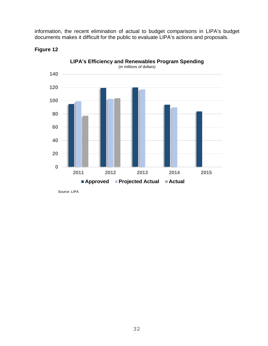information, the recent elimination of actual to budget comparisons in LIPA's budget documents makes it difficult for the public to evaluate LIPA's actions and proposals.



#### **Figure 12**

Source: LIPA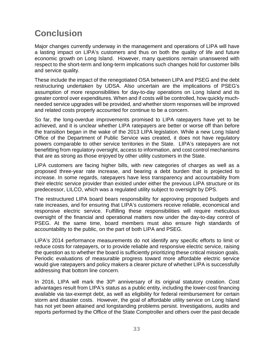## <span id="page-36-0"></span>**Conclusion**

Major changes currently underway in the management and operations of LIPA will have a lasting impact on LIPA's customers and thus on both the quality of life and future economic growth on Long Island. However, many questions remain unanswered with respect to the short-term and long-term implications such changes hold for customer bills and service quality.

These include the impact of the renegotiated OSA between LIPA and PSEG and the debt restructuring undertaken by UDSA. Also uncertain are the implications of PSEG's assumption of more responsibilities for day-to-day operations on Long Island and its greater control over expenditures. When and if costs will be controlled, how quickly muchneeded service upgrades will be provided, and whether storm responses will be improved and related costs properly accounted for continue to be a concern.

So far, the long-overdue improvements promised to LIPA ratepayers have yet to be achieved, and it is unclear whether LIPA ratepayers are better or worse off than before the transition began in the wake of the 2013 LIPA legislation. While a new Long Island Office of the Department of Public Service was created, it does not have regulatory powers comparable to other service territories in the State. LIPA's ratepayers are not benefitting from regulatory oversight, access to information, and cost control mechanisms that are as strong as those enjoyed by other utility customers in the State.

LIPA customers are facing higher bills, with new categories of charges as well as a proposed three-year rate increase, and bearing a debt burden that is projected to increase. In some regards, ratepayers have less transparency and accountability from their electric service provider than existed under either the previous LIPA structure or its predecessor, LILCO, which was a regulated utility subject to oversight by DPS.

The restructured LIPA board bears responsibility for approving proposed budgets and rate increases, and for ensuring that LIPA's customers receive reliable, economical and responsive electric service. Fulfilling these responsibilities will require meticulous oversight of the financial and operational matters now under the day-to-day control of PSEG. At the same time, board members must also ensure high standards of accountability to the public, on the part of both LIPA and PSEG.

LIPA's 2014 performance measurements do not identify any specific efforts to limit or reduce costs for ratepayers, or to provide reliable and responsive electric service, raising the question as to whether the board is sufficiently prioritizing these critical mission goals. Periodic evaluations of measurable progress toward more affordable electric service would give ratepayers and policy makers a clearer picture of whether LIPA is successfully addressing that bottom line concern.

In 2016, LIPA will mark the  $30<sup>th</sup>$  anniversary of its original statutory creation. Cost advantages result from LIPA's status as a public entity, including the lower-cost financing available via tax-exempt debt, as well as eligibility for federal reimbursement for certain storm and disaster costs. However, the goal of affordable utility service on Long Island has not yet been attained and longstanding problems persist. Investigations, audits and reports performed by the Office of the State Comptroller and others over the past decade